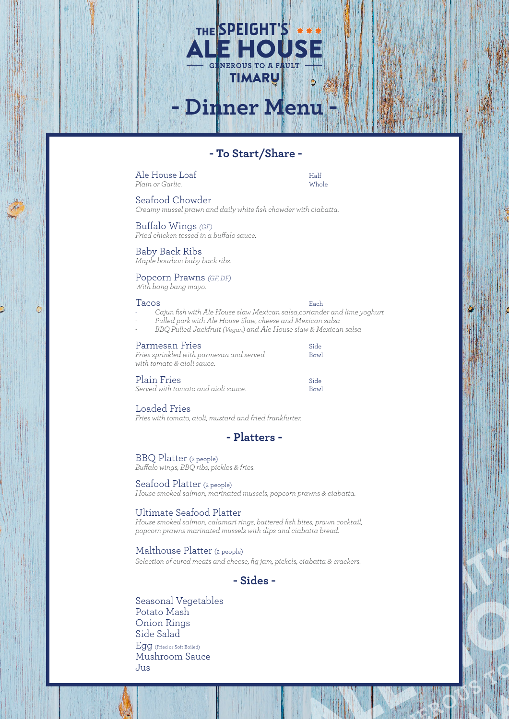# **- To Start/Share -**

**- Dinner Menu -**

THE SPEIGHT'S

Ale House Loaf<br>
Plain or Garlic<br>
Whole *Plain or Garlic*.

Seafood Chowder

*Creamy mussel prawn and daily white fish chowder with ciabatta.*

Buffalo Wings *(GF) Fried chicken tossed in a buffalo sauce.* 

Baby Back Ribs *Maple bourbon baby back ribs.*

# Popcorn Prawns *(GF, DF)*

*With bang bang mayo.*

#### Tacos **Each**

¢

- *- Cajun fish with Ale House slaw Mexican salsa,coriander and lime yoghurt*
	- *- Pulled pork with Ale House Slaw, cheese and Mexican salsa*
- *- BBQ Pulled Jackfruit (Vegan) and Ale House slaw & Mexican salsa*

### Parmesan Fries Side

| Fries sprinkled with parmesan and served | Bowl |
|------------------------------------------|------|
| with tomato & aioli sauce.               |      |
| <b>Plain Fries</b>                       | Side |

*Served with tomato and aioli sauce.* Bowl

# Loaded Fries

*Fries with tomato, aioli, mustard and fried frankfurter.*

# **- Platters -**

# BBQ Platter (2 people)

*Buffalo wings, BBQ ribs, pickles & fries.*

## Seafood Platter (2 people)

*House smoked salmon, marinated mussels, popcorn prawns & ciabatta.*

# Ultimate Seafood Platter

*House smoked salmon, calamari rings, battered fish bites, prawn cocktail, popcorn prawns marinated mussels with dips and ciabatta bread.*

## Malthouse Platter (2 people)

*Selection of cured meats and cheese, fig jam, pickels, ciabatta & crackers.*

# **- Sides -**

Seasonal Vegetables Potato Mash Onion Rings Side Salad Egg (Fried or Soft Boiled) Mushroom Sauce Jus